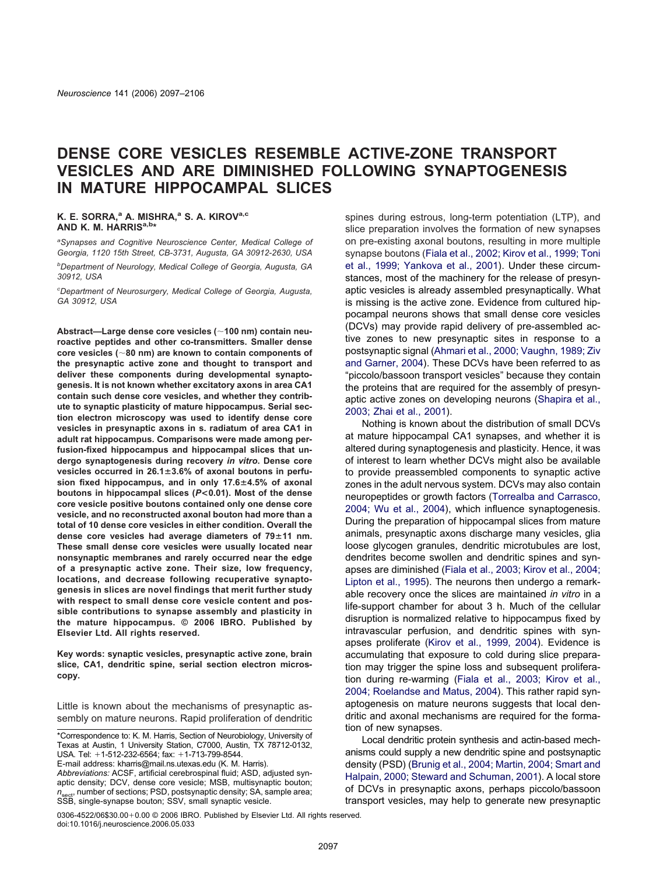# **DENSE CORE VESICLES RESEMBLE ACTIVE-ZONE TRANSPORT VESICLES AND ARE DIMINISHED FOLLOWING SYNAPTOGENESIS IN MATURE HIPPOCAMPAL SLICES**

#### **K. E. SORRA,a A. MISHRA,a S. A. KIROVa,c AND K. M. HARRISa,b\***

*a Synapses and Cognitive Neuroscience Center, Medical College of Georgia, 1120 15th Street, CB-3731, Augusta, GA 30912-2630, USA*

*b Department of Neurology, Medical College of Georgia, Augusta, GA 30912, USA*

*c Department of Neurosurgery, Medical College of Georgia, Augusta, GA 30912, USA*

**Abstract—Large dense core vesicles (100 nm) contain neuroactive peptides and other co-transmitters. Smaller dense core vesicles (80 nm) are known to contain components of the presynaptic active zone and thought to transport and deliver these components during developmental synaptogenesis. It is not known whether excitatory axons in area CA1 contain such dense core vesicles, and whether they contribute to synaptic plasticity of mature hippocampus. Serial section electron microscopy was used to identify dense core vesicles in presynaptic axons in s. radiatum of area CA1 in adult rat hippocampus. Comparisons were made among perfusion-fixed hippocampus and hippocampal slices that undergo synaptogenesis during recovery** *in vitro***. Dense core vesicles occurred in 26.13.6% of axonal boutons in perfusion fixed hippocampus, and in only 17.64.5% of axonal boutons in hippocampal slices (***P***<0.01). Most of the dense core vesicle positive boutons contained only one dense core vesicle, and no reconstructed axonal bouton had more than a total of 10 dense core vesicles in either condition. Overall the dense core vesicles had average diameters of 7911 nm. These small dense core vesicles were usually located near nonsynaptic membranes and rarely occurred near the edge of a presynaptic active zone. Their size, low frequency, locations, and decrease following recuperative synaptogenesis in slices are novel findings that merit further study with respect to small dense core vesicle content and possible contributions to synapse assembly and plasticity in the mature hippocampus. © 2006 IBRO. Published by Elsevier Ltd. All rights reserved.**

**Key words: synaptic vesicles, presynaptic active zone, brain slice, CA1, dendritic spine, serial section electron microscopy.**

Little is known about the mechanisms of presynaptic assembly on mature neurons. Rapid proliferation of dendritic

E-mail address: kharris@mail.ns.utexas.edu (K. M. Harris).

0306-4522/06\$30.00+0.00 © 2006 IBRO. Published by Elsevier Ltd. All rights reserved. doi:10.1016/j.neuroscience.2006.05.033

spines during estrous, long-term potentiation (LTP), and slice preparation involves the formation of new synapses on pre-existing axonal boutons, resulting in more multiple synapse boutons [\(Fiala et al., 2002; Kirov et al., 1999; Toni](#page-8-0) [et al., 1999; Yankova et al., 2001\)](#page-8-0). Under these circumstances, most of the machinery for the release of presynaptic vesicles is already assembled presynaptically. What is missing is the active zone. Evidence from cultured hippocampal neurons shows that small dense core vesicles (DCVs) may provide rapid delivery of pre-assembled active zones to new presynaptic sites in response to a postsynaptic signal [\(Ahmari et al., 2000; Vaughn, 1989; Ziv](#page-8-0) [and Garner, 2004\)](#page-8-0). These DCVs have been referred to as "piccolo/bassoon transport vesicles" because they contain the proteins that are required for the assembly of presynaptic active zones on developing neurons [\(Shapira et al.,](#page-9-0) [2003; Zhai et al., 2001\)](#page-9-0).

Nothing is known about the distribution of small DCVs at mature hippocampal CA1 synapses, and whether it is altered during synaptogenesis and plasticity. Hence, it was of interest to learn whether DCVs might also be available to provide preassembled components to synaptic active zones in the adult nervous system. DCVs may also contain neuropeptides or growth factors [\(Torrealba and Carrasco,](#page-9-0) [2004; Wu et al., 2004\)](#page-9-0), which influence synaptogenesis. During the preparation of hippocampal slices from mature animals, presynaptic axons discharge many vesicles, glia loose glycogen granules, dendritic microtubules are lost, dendrites become swollen and dendritic spines and synapses are diminished [\(Fiala et al., 2003; Kirov et al., 2004;](#page-8-0) [Lipton et al., 1995\)](#page-8-0). The neurons then undergo a remarkable recovery once the slices are maintained *in vitro* in a life-support chamber for about 3 h. Much of the cellular disruption is normalized relative to hippocampus fixed by intravascular perfusion, and dendritic spines with synapses proliferate [\(Kirov et al., 1999, 2004\)](#page-8-0). Evidence is accumulating that exposure to cold during slice preparation may trigger the spine loss and subsequent proliferation during re-warming [\(Fiala et al., 2003; Kirov et al.,](#page-8-0) [2004; Roelandse and Matus, 2004\)](#page-8-0). This rather rapid synaptogenesis on mature neurons suggests that local dendritic and axonal mechanisms are required for the formation of new synapses.

Local dendritic protein synthesis and actin-based mechanisms could supply a new dendritic spine and postsynaptic density (PSD) [\(Brunig et al., 2004; Martin, 2004; Smart and](#page-8-0) [Halpain, 2000; Steward and Schuman, 2001\)](#page-8-0). A local store of DCVs in presynaptic axons, perhaps piccolo/bassoon transport vesicles, may help to generate new presynaptic

<sup>\*</sup>Correspondence to: K. M. Harris, Section of Neurobiology, University of Texas at Austin, 1 University Station, C7000, Austin, TX 78712-0132, USA. Tel: +1-512-232-6564; fax: +1-713-799-8544.

*Abbreviations:* ACSF, artificial cerebrospinal fluid; ASD, adjusted synaptic density; DCV, dense core vesicle; MSB, multisynaptic bouton; *n*<sub>sect</sub>, number of sections; PSD, postsynaptic density; SA, sample area; SSB, single-synapse bouton; SSV, small synaptic vesicle.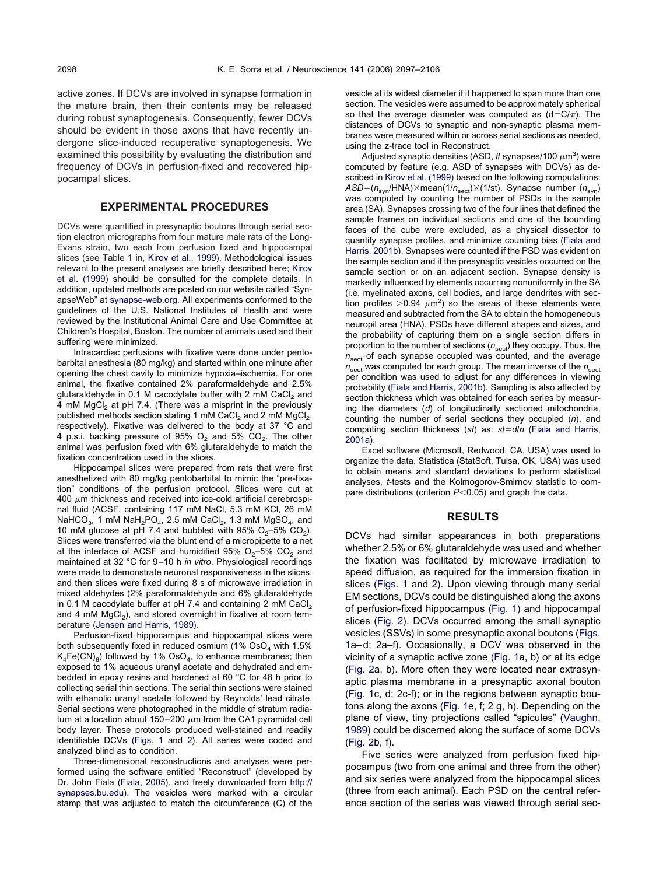active zones. If DCVs are involved in synapse formation in the mature brain, then their contents may be released during robust synaptogenesis. Consequently, fewer DCVs should be evident in those axons that have recently undergone slice-induced recuperative synaptogenesis. We examined this possibility by evaluating the distribution and frequency of DCVs in perfusion-fixed and recovered hippocampal slices.

## **EXPERIMENTAL PROCEDURES**

DCVs were quantified in presynaptic boutons through serial section electron micrographs from four mature male rats of the Long-Evans strain, two each from perfusion fixed and hippocampal slices (see Table 1 in, [Kirov et al., 1999\)](#page-8-0). Methodological issues relevant to the present analyses are briefly described here; [Kirov](#page-8-0) [et al. \(1999\)](#page-8-0) should be consulted for the complete details. In addition, updated methods are posted on our website called "SynapseWeb" at [synapse-web.org.](http://www.synapse-web.org) All experiments conformed to the guidelines of the U.S. National Institutes of Health and were reviewed by the Institutional Animal Care and Use Committee at Children's Hospital, Boston. The number of animals used and their suffering were minimized.

Intracardiac perfusions with fixative were done under pentobarbital anesthesia (80 mg/kg) and started within one minute after opening the chest cavity to minimize hypoxia–ischemia. For one animal, the fixative contained 2% paraformaldehyde and 2.5% glutaraldehyde in 0.1 M cacodylate buffer with 2 mM CaCl<sub>2</sub> and 4 mM MgCl<sub>2</sub> at pH 7.4. (There was a misprint in the previously published methods section stating 1 mM CaCl<sub>2</sub> and 2 mM MgCl<sub>2</sub>, respectively). Fixative was delivered to the body at 37 °C and 4 p.s.i. backing pressure of 95%  $O_2$  and 5%  $CO_2$ . The other animal was perfusion fixed with 6% glutaraldehyde to match the fixation concentration used in the slices.

Hippocampal slices were prepared from rats that were first anesthetized with 80 mg/kg pentobarbital to mimic the "pre-fixation" conditions of the perfusion protocol. Slices were cut at 400  $\mu$ m thickness and received into ice-cold artificial cerebrospinal fluid (ACSF, containing 117 mM NaCl, 5.3 mM KCl, 26 mM NaHCO<sub>3</sub>, 1 mM NaH<sub>2</sub>PO<sub>4</sub>, 2.5 mM CaCl<sub>2</sub>, 1.3 mM MgSO<sub>4</sub>, and 10 mM glucose at pH 7.4 and bubbled with 95%  $O_2$ –5%  $CO_2$ ). Slices were transferred via the blunt end of a micropipette to a net at the interface of ACSF and humidified  $95\%$  O<sub>2</sub>–5% CO<sub>2</sub> and maintained at 32 °C for 9–10 h *in vitro*. Physiological recordings were made to demonstrate neuronal responsiveness in the slices, and then slices were fixed during 8 s of microwave irradiation in mixed aldehydes (2% paraformaldehyde and 6% glutaraldehyde in 0.1 M cacodylate buffer at  $pH$  7.4 and containing 2 mM CaCl<sub>2</sub> and 4 mM  $MgCl<sub>2</sub>$ ), and stored overnight in fixative at room temperature [\(Jensen and Harris, 1989\)](#page-8-0).

Perfusion-fixed hippocampus and hippocampal slices were both subsequently fixed in reduced osmium (1%  $OsO<sub>4</sub>$  with 1.5%  $K_4Fe(CN)_{6}$ ) followed by 1% OsO<sub>4</sub>, to enhance membranes; then exposed to 1% aqueous uranyl acetate and dehydrated and embedded in epoxy resins and hardened at 60 °C for 48 h prior to collecting serial thin sections. The serial thin sections were stained with ethanolic uranyl acetate followed by Reynolds' lead citrate. Serial sections were photographed in the middle of stratum radiatum at a location about 150–200  $\mu$ m from the CA1 pyramidal cell body layer. These protocols produced well-stained and readily identifiable DCVs [\(Figs. 1](#page-2-0) and [2\)](#page-3-0). All series were coded and analyzed blind as to condition.

Three-dimensional reconstructions and analyses were performed using the software entitled "Reconstruct" (developed by Dr. John Fiala [\(Fiala, 2005\)](#page-8-0), and freely downloaded from [http://](http://synapses.bu.edu) [synapses.bu.edu\)](http://synapses.bu.edu). The vesicles were marked with a circular stamp that was adjusted to match the circumference (C) of the vesicle at its widest diameter if it happened to span more than one section. The vesicles were assumed to be approximately spherical so that the average diameter was computed as  $(d = C/\pi)$ . The distances of DCVs to synaptic and non-synaptic plasma membranes were measured within or across serial sections as needed, using the z-trace tool in Reconstruct.

Adjusted synaptic densities (ASD, # synapses/100  $\mu$ m<sup>3</sup>) were computed by feature (e.g. ASD of synapses with DCVs) as described in [Kirov et al. \(1999\)](#page-8-0) based on the following computations: *ASD*=( $n_{syn}$ /HNA)×mean(1/ $n_{sect}$ )×(1/st). Synapse number ( $n_{syn}$ ) was computed by counting the number of PSDs in the sample area (SA). Synapses crossing two of the four lines that defined the sample frames on individual sections and one of the bounding faces of the cube were excluded, as a physical dissector to quantify synapse profiles, and minimize counting bias [\(Fiala and](#page-8-0) [Harris, 2001b\)](#page-8-0). Synapses were counted if the PSD was evident on the sample section and if the presynaptic vesicles occurred on the sample section or on an adjacent section. Synapse density is markedly influenced by elements occurring nonuniformly in the SA (i.e. myelinated axons, cell bodies, and large dendrites with section profiles  $>$  0.94  $\mu$ m<sup>2</sup>) so the areas of these elements were measured and subtracted from the SA to obtain the homogeneous neuropil area (HNA). PSDs have different shapes and sizes, and the probability of capturing them on a single section differs in proportion to the number of sections ( $n_{\rm sect}$ ) they occupy. Thus, the *n*<sub>sect</sub> of each synapse occupied was counted, and the average  $n_{\text{sort}}$  was computed for each group. The mean inverse of the  $n_{\text{sort}}$ per condition was used to adjust for any differences in viewing probability [\(Fiala and Harris, 2001b\)](#page-8-0). Sampling is also affected by section thickness which was obtained for each series by measuring the diameters (*d*) of longitudinally sectioned mitochondria, counting the number of serial sections they occupied (*n*), and computing section thickness (*st*) as: *std*/*n* [\(Fiala and Harris,](#page-8-0) [2001a\)](#page-8-0).

Excel software (Microsoft, Redwood, CA, USA) was used to organize the data. Statistica (StatSoft, Tulsa, OK, USA) was used to obtain means and standard deviations to perform statistical analyses, *t*-tests and the Kolmogorov-Smirnov statistic to compare distributions (criterion  $P<0.05$ ) and graph the data.

## **RESULTS**

DCVs had similar appearances in both preparations whether 2.5% or 6% glutaraldehyde was used and whether the fixation was facilitated by microwave irradiation to speed diffusion, as required for the immersion fixation in slices [\(Figs. 1](#page-2-0) and [2\)](#page-3-0). Upon viewing through many serial EM sections, DCVs could be distinguished along the axons of perfusion-fixed hippocampus [\(Fig. 1\)](#page-2-0) and hippocampal slices [\(Fig. 2\)](#page-3-0). DCVs occurred among the small synaptic vesicles (SSVs) in some presynaptic axonal boutons [\(Figs.](#page-2-0) [1a](#page-2-0)–d; 2a–f). Occasionally, a DCV was observed in the vicinity of a synaptic active zone [\(Fig. 1a](#page-2-0), b) or at its edge [\(Fig. 2a](#page-3-0), b). More often they were located near extrasynaptic plasma membrane in a presynaptic axonal bouton [\(Fig. 1c](#page-2-0), d; 2c-f); or in the regions between synaptic boutons along the axons [\(Fig. 1e](#page-2-0), f; 2 g, h). Depending on the plane of view, tiny projections called "spicules" [\(Vaughn,](#page-9-0) [1989\)](#page-9-0) could be discerned along the surface of some DCVs [\(Fig. 2b](#page-3-0), f).

Five series were analyzed from perfusion fixed hippocampus (two from one animal and three from the other) and six series were analyzed from the hippocampal slices (three from each animal). Each PSD on the central reference section of the series was viewed through serial sec-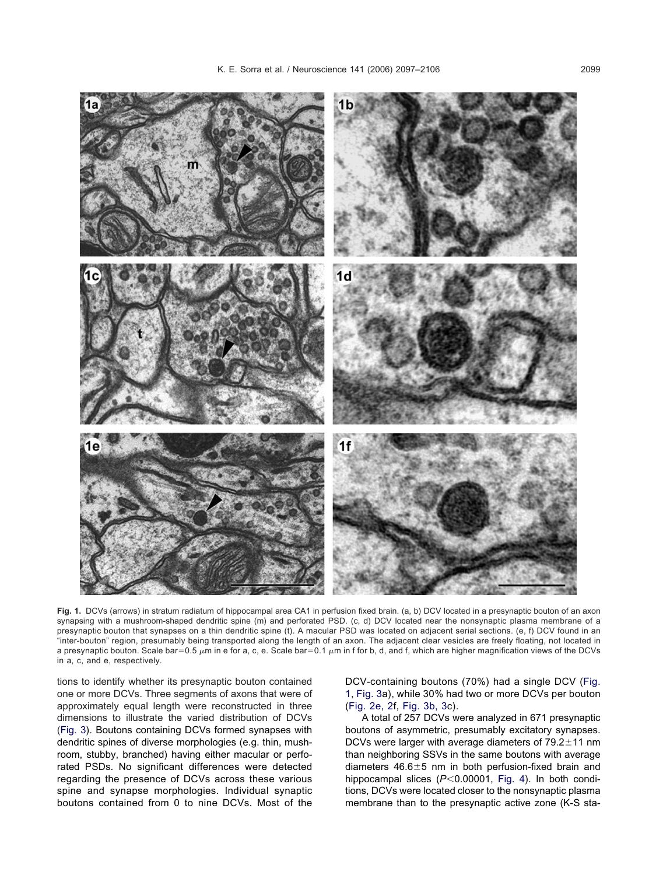<span id="page-2-0"></span>

**Fig. 1.** DCVs (arrows) in stratum radiatum of hippocampal area CA1 in perfusion fixed brain. (a, b) DCV located in a presynaptic bouton of an axon synapsing with a mushroom-shaped dendritic spine (m) and perforated PSD. (c, d) DCV located near the nonsynaptic plasma membrane of a presynaptic bouton that synapses on a thin dendritic spine (t). A macular PSD was located on adjacent serial sections. (e, f) DCV found in an "inter-bouton" region, presumably being transported along the length of an axon. The adjacent clear vesicles are freely floating, not located in a presynaptic bouton. Scale bar=0.5  $\mu$ m in e for a, c, e. Scale bar=0.1  $\mu$ m in f for b, d, and f, which are higher magnification views of the DCVs in a, c, and e, respectively.

tions to identify whether its presynaptic bouton contained one or more DCVs. Three segments of axons that were of approximately equal length were reconstructed in three dimensions to illustrate the varied distribution of DCVs [\(Fig. 3\)](#page-4-0). Boutons containing DCVs formed synapses with dendritic spines of diverse morphologies (e.g. thin, mushroom, stubby, branched) having either macular or perforated PSDs. No significant differences were detected regarding the presence of DCVs across these various spine and synapse morphologies. Individual synaptic boutons contained from 0 to nine DCVs. Most of the

DCV-containing boutons (70%) had a single DCV (Fig. 1, [Fig. 3a](#page-4-0)), while 30% had two or more DCVs per bouton [\(Fig. 2e, 2f](#page-3-0), [Fig. 3b, 3c](#page-4-0)).

A total of 257 DCVs were analyzed in 671 presynaptic boutons of asymmetric, presumably excitatory synapses. DCVs were larger with average diameters of  $79.2 \pm 11$  nm than neighboring SSVs in the same boutons with average diameters  $46.6 \pm 5$  nm in both perfusion-fixed brain and hippocampal slices  $(P<0.00001, Fig. 4)$  $(P<0.00001, Fig. 4)$ . In both conditions, DCVs were located closer to the nonsynaptic plasma membrane than to the presynaptic active zone (K-S sta-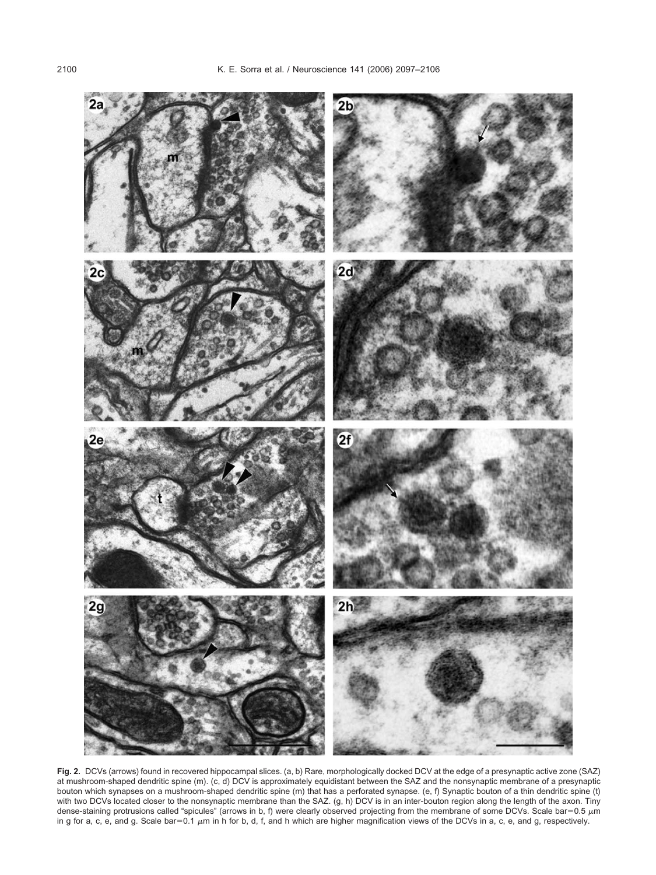<span id="page-3-0"></span>

**Fig. 2.** DCVs (arrows) found in recovered hippocampal slices. (a, b) Rare, morphologically docked DCV at the edge of a presynaptic active zone (SAZ) at mushroom-shaped dendritic spine (m). (c, d) DCV is approximately equidistant between the SAZ and the nonsynaptic membrane of a presynaptic bouton which synapses on a mushroom-shaped dendritic spine (m) that has a perforated synapse. (e, f) Synaptic bouton of a thin dendritic spine (t) with two DCVs located closer to the nonsynaptic membrane than the SAZ. (g, h) DCV is in an inter-bouton region along the length of the axon. Tiny dense-staining protrusions called "spicules" (arrows in b, f) were clearly observed projecting from the membrane of some DCVs. Scale bar=0.5  $\mu$ m in g for a, c, e, and g. Scale bar=0.1  $\mu$ m in h for b, d, f, and h which are higher magnification views of the DCVs in a, c, e, and g, respectively.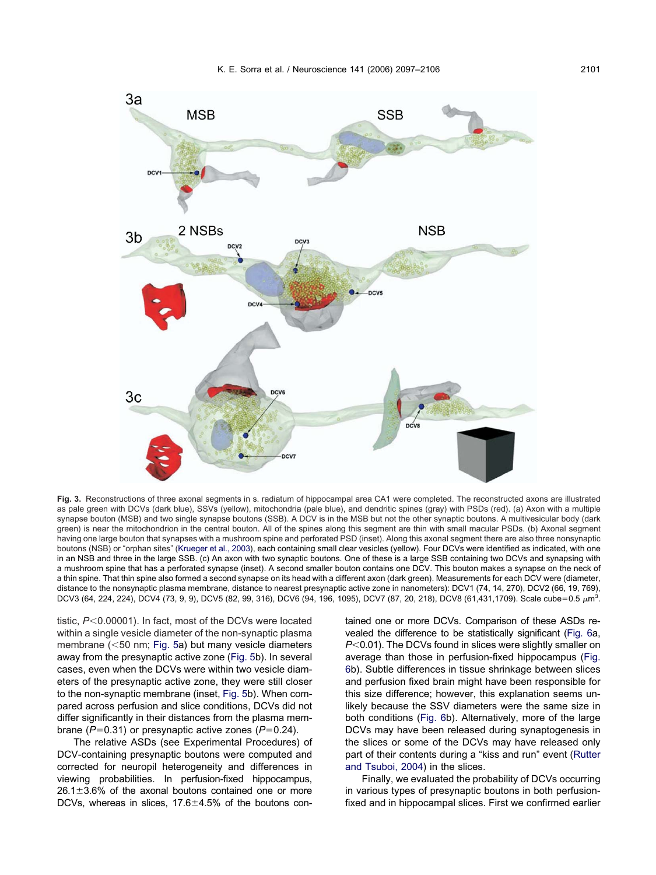<span id="page-4-0"></span>

**Fig. 3.** Reconstructions of three axonal segments in s. radiatum of hippocampal area CA1 were completed. The reconstructed axons are illustrated as pale green with DCVs (dark blue), SSVs (yellow), mitochondria (pale blue), and dendritic spines (gray) with PSDs (red). (a) Axon with a multiple synapse bouton (MSB) and two single synapse boutons (SSB). A DCV is in the MSB but not the other synaptic boutons. A multivesicular body (dark green) is near the mitochondrion in the central bouton. All of the spines along this segment are thin with small macular PSDs. (b) Axonal segment having one large bouton that synapses with a mushroom spine and perforated PSD (inset). Along this axonal segment there are also three nonsynaptic boutons (NSB) or "orphan sites" [\(Krueger et al., 2003\)](#page-8-0), each containing small clear vesicles (yellow). Four DCVs were identified as indicated, with one in an NSB and three in the large SSB. (c) An axon with two synaptic boutons. One of these is a large SSB containing two DCVs and synapsing with a mushroom spine that has a perforated synapse (inset). A second smaller bouton contains one DCV. This bouton makes a synapse on the neck of a thin spine. That thin spine also formed a second synapse on its head with a different axon (dark green). Measurements for each DCV were (diameter, distance to the nonsynaptic plasma membrane, distance to nearest presynaptic active zone in nanometers): DCV1 (74, 14, 270), DCV2 (66, 19, 769), DCV3 (64, 224, 224), DCV4 (73, 9, 9), DCV5 (82, 99, 316), DCV6 (94, 196, 1095), DCV7 (87, 20, 218), DCV8 (61,431,1709). Scale cube=0.5  $\mu$ m<sup>3</sup>.

tistic,  $P < 0.00001$ ). In fact, most of the DCVs were located within a single vesicle diameter of the non-synaptic plasma membrane (<50 nm; [Fig. 5a](#page-6-0)) but many vesicle diameters away from the presynaptic active zone [\(Fig. 5b](#page-6-0)). In several cases, even when the DCVs were within two vesicle diameters of the presynaptic active zone, they were still closer to the non-synaptic membrane (inset, [Fig. 5b](#page-6-0)). When compared across perfusion and slice conditions, DCVs did not differ significantly in their distances from the plasma membrane ( $P=0.31$ ) or presynaptic active zones ( $P=0.24$ ).

The relative ASDs (see Experimental Procedures) of DCV-containing presynaptic boutons were computed and corrected for neuropil heterogeneity and differences in viewing probabilities. In perfusion-fixed hippocampus,  $26.1\pm3.6\%$  of the axonal boutons contained one or more DCVs, whereas in slices,  $17.6 \pm 4.5\%$  of the boutons contained one or more DCVs. Comparison of these ASDs revealed the difference to be statistically significant [\(Fig. 6a](#page-7-0), *P*<0.01). The DCVs found in slices were slightly smaller on average than those in perfusion-fixed hippocampus [\(Fig.](#page-7-0) [6b](#page-7-0)). Subtle differences in tissue shrinkage between slices and perfusion fixed brain might have been responsible for this size difference; however, this explanation seems unlikely because the SSV diameters were the same size in both conditions [\(Fig. 6b](#page-7-0)). Alternatively, more of the large DCVs may have been released during synaptogenesis in the slices or some of the DCVs may have released only part of their contents during a "kiss and run" event [\(Rutter](#page-9-0) [and Tsuboi, 2004\)](#page-9-0) in the slices.

Finally, we evaluated the probability of DCVs occurring in various types of presynaptic boutons in both perfusionfixed and in hippocampal slices. First we confirmed earlier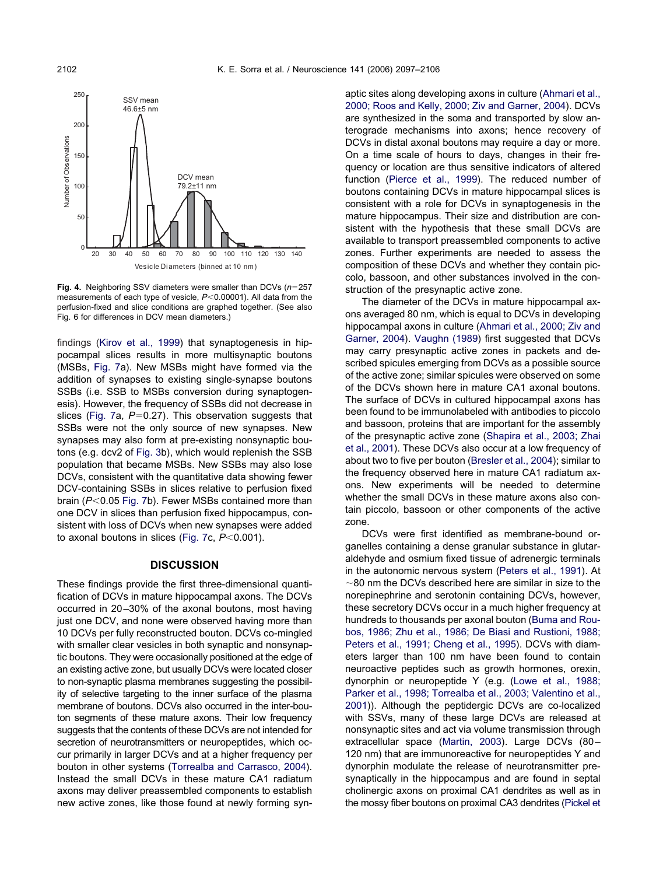<span id="page-5-0"></span>

**Fig. 4.** Neighboring SSV diameters were smaller than DCVs (n=257 measurements of each type of vesicle,  $P<0.00001$ ). All data from the perfusion-fixed and slice conditions are graphed together. (See also Fig. 6 for differences in DCV mean diameters.)

findings [\(Kirov et al., 1999\)](#page-8-0) that synaptogenesis in hippocampal slices results in more multisynaptic boutons (MSBs, [Fig. 7a](#page-7-0)). New MSBs might have formed via the addition of synapses to existing single-synapse boutons SSBs (i.e. SSB to MSBs conversion during synaptogenesis). However, the frequency of SSBs did not decrease in slices [\(Fig. 7a](#page-7-0),  $P=0.27$ ). This observation suggests that SSBs were not the only source of new synapses. New synapses may also form at pre-existing nonsynaptic boutons (e.g. dcv2 of [Fig. 3b](#page-4-0)), which would replenish the SSB population that became MSBs. New SSBs may also lose DCVs, consistent with the quantitative data showing fewer DCV-containing SSBs in slices relative to perfusion fixed brain ( $P$ <0.05 [Fig. 7b](#page-7-0)). Fewer MSBs contained more than one DCV in slices than perfusion fixed hippocampus, consistent with loss of DCVs when new synapses were added to axonal boutons in slices [\(Fig. 7c](#page-7-0),  $P<0.001$ ).

## **DISCUSSION**

These findings provide the first three-dimensional quantification of DCVs in mature hippocampal axons. The DCVs occurred in 20–30% of the axonal boutons, most having just one DCV, and none were observed having more than 10 DCVs per fully reconstructed bouton. DCVs co-mingled with smaller clear vesicles in both synaptic and nonsynaptic boutons. They were occasionally positioned at the edge of an existing active zone, but usually DCVs were located closer to non-synaptic plasma membranes suggesting the possibility of selective targeting to the inner surface of the plasma membrane of boutons. DCVs also occurred in the inter-bouton segments of these mature axons. Their low frequency suggests that the contents of these DCVs are not intended for secretion of neurotransmitters or neuropeptides, which occur primarily in larger DCVs and at a higher frequency per bouton in other systems [\(Torrealba and Carrasco, 2004\)](#page-9-0). Instead the small DCVs in these mature CA1 radiatum axons may deliver preassembled components to establish new active zones, like those found at newly forming synaptic sites along developing axons in culture [\(Ahmari et al.,](#page-8-0) [2000; Roos and Kelly, 2000; Ziv and Garner, 2004\)](#page-8-0). DCVs are synthesized in the soma and transported by slow anterograde mechanisms into axons; hence recovery of DCVs in distal axonal boutons may require a day or more. On a time scale of hours to days, changes in their frequency or location are thus sensitive indicators of altered function [\(Pierce et al., 1999\)](#page-9-0). The reduced number of boutons containing DCVs in mature hippocampal slices is consistent with a role for DCVs in synaptogenesis in the mature hippocampus. Their size and distribution are consistent with the hypothesis that these small DCVs are available to transport preassembled components to active zones. Further experiments are needed to assess the composition of these DCVs and whether they contain piccolo, bassoon, and other substances involved in the construction of the presynaptic active zone.

The diameter of the DCVs in mature hippocampal axons averaged 80 nm, which is equal to DCVs in developing hippocampal axons in culture [\(Ahmari et al., 2000; Ziv and](#page-8-0) [Garner, 2004\)](#page-8-0). [Vaughn \(1989\)](#page-9-0) first suggested that DCVs may carry presynaptic active zones in packets and described spicules emerging from DCVs as a possible source of the active zone; similar spicules were observed on some of the DCVs shown here in mature CA1 axonal boutons. The surface of DCVs in cultured hippocampal axons has been found to be immunolabeled with antibodies to piccolo and bassoon, proteins that are important for the assembly of the presynaptic active zone [\(Shapira et al., 2003; Zhai](#page-9-0) [et al., 2001\)](#page-9-0). These DCVs also occur at a low frequency of about two to five per bouton [\(Bresler et al., 2004\)](#page-8-0); similar to the frequency observed here in mature CA1 radiatum axons. New experiments will be needed to determine whether the small DCVs in these mature axons also contain piccolo, bassoon or other components of the active zone.

DCVs were first identified as membrane-bound organelles containing a dense granular substance in glutaraldehyde and osmium fixed tissue of adrenergic terminals in the autonomic nervous system [\(Peters et al., 1991\)](#page-9-0). At  $\sim$ 80 nm the DCVs described here are similar in size to the norepinephrine and serotonin containing DCVs, however, these secretory DCVs occur in a much higher frequency at hundreds to thousands per axonal bouton [\(Buma and Rou](#page-8-0)[bos, 1986; Zhu et al., 1986; De Biasi and Rustioni, 1988;](#page-8-0) [Peters et al., 1991; Cheng et al., 1995\)](#page-8-0). DCVs with diameters larger than 100 nm have been found to contain neuroactive peptides such as growth hormones, orexin, dynorphin or neuropeptide Y (e.g. [\(Lowe et al., 1988;](#page-9-0) [Parker et al., 1998; Torrealba et al., 2003; Valentino et al.,](#page-9-0) [2001\)](#page-9-0)). Although the peptidergic DCVs are co-localized with SSVs, many of these large DCVs are released at nonsynaptic sites and act via volume transmission through extracellular space [\(Martin, 2003\)](#page-9-0). Large DCVs (80– 120 nm) that are immunoreactive for neuropeptides Y and dynorphin modulate the release of neurotransmitter presynaptically in the hippocampus and are found in septal cholinergic axons on proximal CA1 dendrites as well as in the mossy fiber boutons on proximal CA3 dendrites (Pickel et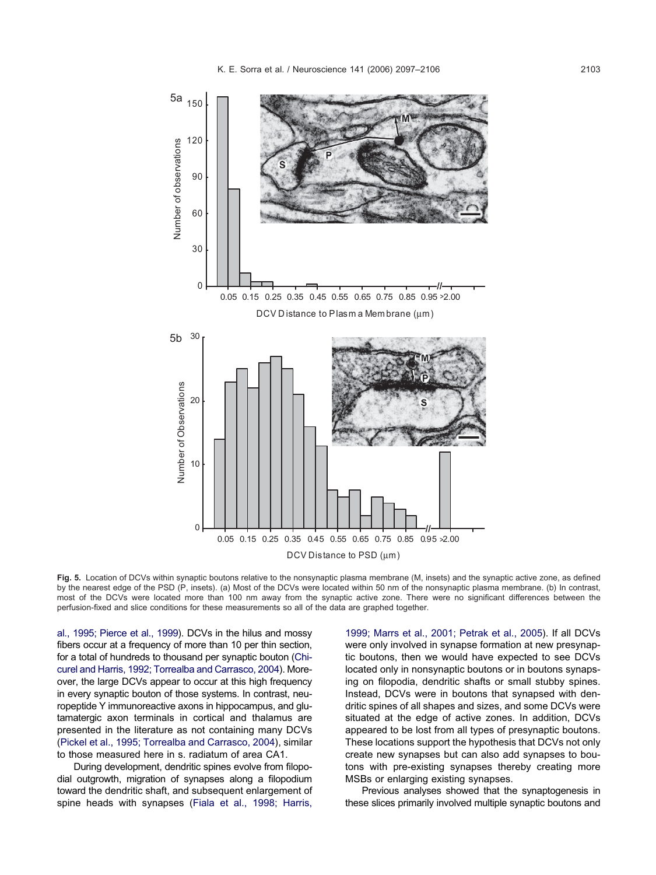<span id="page-6-0"></span>

**Fig. 5.** Location of DCVs within synaptic boutons relative to the nonsynaptic plasma membrane (M, insets) and the synaptic active zone, as defined by the nearest edge of the PSD (P, insets). (a) Most of the DCVs were located within 50 nm of the nonsynaptic plasma membrane. (b) In contrast, most of the DCVs were located more than 100 nm away from the synaptic active zone. There were no significant differences between the perfusion-fixed and slice conditions for these measurements so all of the data are graphed together.

[al., 1995; Pierce et al., 1999\)](#page-9-0). DCVs in the hilus and mossy fibers occur at a frequency of more than 10 per thin section, for a total of hundreds to thousand per synaptic bouton [\(Chi](#page-8-0)[curel and Harris, 1992; Torrealba and Carrasco, 2004\)](#page-8-0). Moreover, the large DCVs appear to occur at this high frequency in every synaptic bouton of those systems. In contrast, neuropeptide Y immunoreactive axons in hippocampus, and glutamatergic axon terminals in cortical and thalamus are presented in the literature as not containing many DCVs [\(Pickel et al., 1995; Torrealba and Carrasco, 2004\)](#page-9-0), similar to those measured here in s. radiatum of area CA1.

During development, dendritic spines evolve from filopodial outgrowth, migration of synapses along a filopodium toward the dendritic shaft, and subsequent enlargement of spine heads with synapses [\(Fiala et al., 1998; Harris,](#page-8-0)

[1999; Marrs et al., 2001; Petrak et al., 2005\)](#page-8-0). If all DCVs were only involved in synapse formation at new presynaptic boutons, then we would have expected to see DCVs located only in nonsynaptic boutons or in boutons synapsing on filopodia, dendritic shafts or small stubby spines. Instead, DCVs were in boutons that synapsed with dendritic spines of all shapes and sizes, and some DCVs were situated at the edge of active zones. In addition, DCVs appeared to be lost from all types of presynaptic boutons. These locations support the hypothesis that DCVs not only create new synapses but can also add synapses to boutons with pre-existing synapses thereby creating more MSBs or enlarging existing synapses.

Previous analyses showed that the synaptogenesis in these slices primarily involved multiple synaptic boutons and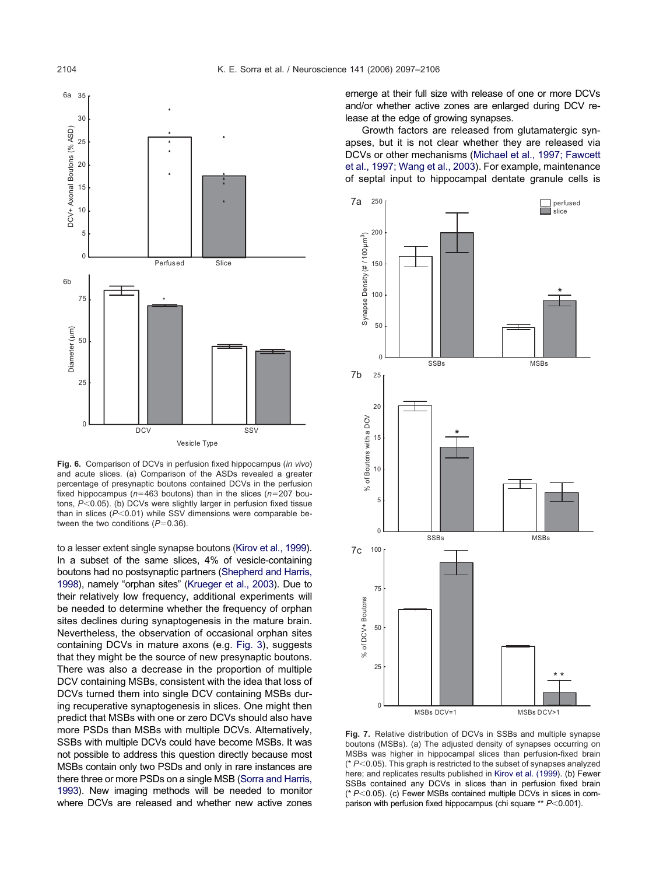<span id="page-7-0"></span>

**Fig. 6.** Comparison of DCVs in perfusion fixed hippocampus (*in vivo*) and acute slices. (a) Comparison of the ASDs revealed a greater percentage of presynaptic boutons contained DCVs in the perfusion fixed hippocampus ( $n=463$  boutons) than in the slices ( $n=207$  boutons, *P*<0.05). (b) DCVs were slightly larger in perfusion fixed tissue than in slices  $(P<0.01)$  while SSV dimensions were comparable between the two conditions  $(P=0.36)$ .

to a lesser extent single synapse boutons [\(Kirov et al., 1999\)](#page-8-0). In a subset of the same slices, 4% of vesicle-containing boutons had no postsynaptic partners [\(Shepherd and Harris,](#page-9-0) [1998\)](#page-9-0), namely "orphan sites" [\(Krueger et al., 2003\)](#page-8-0). Due to their relatively low frequency, additional experiments will be needed to determine whether the frequency of orphan sites declines during synaptogenesis in the mature brain. Nevertheless, the observation of occasional orphan sites containing DCVs in mature axons (e.g. [Fig. 3\)](#page-4-0), suggests that they might be the source of new presynaptic boutons. There was also a decrease in the proportion of multiple DCV containing MSBs, consistent with the idea that loss of DCVs turned them into single DCV containing MSBs during recuperative synaptogenesis in slices. One might then predict that MSBs with one or zero DCVs should also have more PSDs than MSBs with multiple DCVs. Alternatively, SSBs with multiple DCVs could have become MSBs. It was not possible to address this question directly because most MSBs contain only two PSDs and only in rare instances are there three or more PSDs on a single MSB [\(Sorra and Harris,](#page-9-0) [1993\)](#page-9-0). New imaging methods will be needed to monitor where DCVs are released and whether new active zones emerge at their full size with release of one or more DCVs and/or whether active zones are enlarged during DCV release at the edge of growing synapses.

Growth factors are released from glutamatergic synapses, but it is not clear whether they are released via DCVs or other mechanisms [\(Michael et al., 1997; Fawcett](#page-9-0) [et al., 1997; Wang et al., 2003\)](#page-9-0). For example, maintenance of septal input to hippocampal dentate granule cells is



**Fig. 7.** Relative distribution of DCVs in SSBs and multiple synapse boutons (MSBs). (a) The adjusted density of synapses occurring on MSBs was higher in hippocampal slices than perfusion-fixed brain  $(* P<0.05)$ . This graph is restricted to the subset of synapses analyzed here; and replicates results published in [Kirov et al. \(1999\)](#page-8-0). (b) Fewer SSBs contained any DCVs in slices than in perfusion fixed brain (\*  $P$ <0.05). (c) Fewer MSBs contained multiple DCVs in slices in comparison with perfusion fixed hippocampus (chi square \*\*  $P$  < 0.001).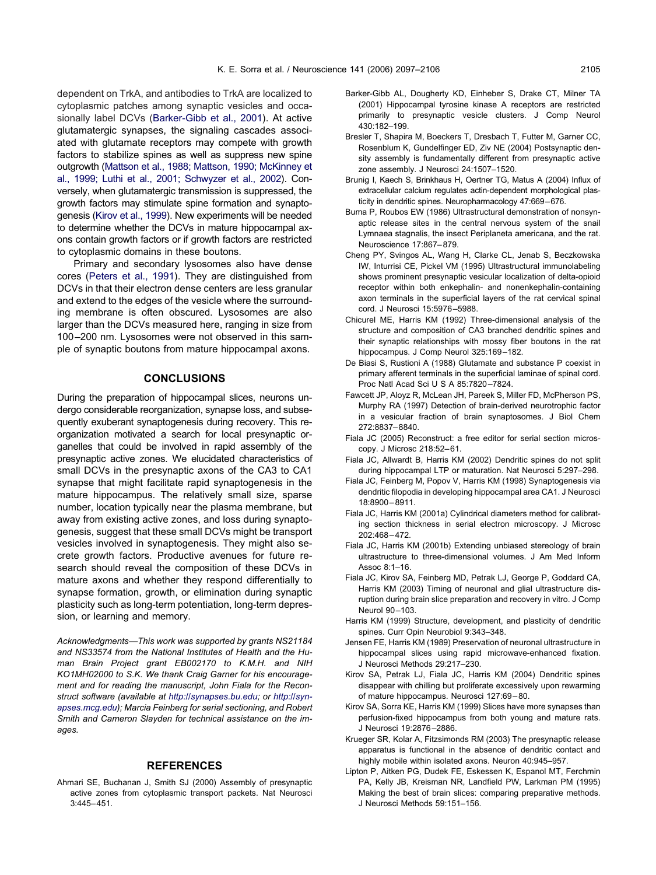<span id="page-8-0"></span>dependent on TrkA, and antibodies to TrkA are localized to cytoplasmic patches among synaptic vesicles and occasionally label DCVs (Barker-Gibb et al., 2001). At active glutamatergic synapses, the signaling cascades associated with glutamate receptors may compete with growth factors to stabilize spines as well as suppress new spine outgrowth [\(Mattson et al., 1988; Mattson, 1990; McKinney et](#page-9-0) [al., 1999; Luthi et al., 2001; Schwyzer et al., 2002\)](#page-9-0). Conversely, when glutamatergic transmission is suppressed, the growth factors may stimulate spine formation and synaptogenesis (Kirov et al., 1999). New experiments will be needed to determine whether the DCVs in mature hippocampal axons contain growth factors or if growth factors are restricted to cytoplasmic domains in these boutons.

Primary and secondary lysosomes also have dense cores [\(Peters et al., 1991\)](#page-9-0). They are distinguished from DCVs in that their electron dense centers are less granular and extend to the edges of the vesicle where the surrounding membrane is often obscured. Lysosomes are also larger than the DCVs measured here, ranging in size from 100–200 nm. Lysosomes were not observed in this sample of synaptic boutons from mature hippocampal axons.

#### **CONCLUSIONS**

During the preparation of hippocampal slices, neurons undergo considerable reorganization, synapse loss, and subsequently exuberant synaptogenesis during recovery. This reorganization motivated a search for local presynaptic organelles that could be involved in rapid assembly of the presynaptic active zones. We elucidated characteristics of small DCVs in the presynaptic axons of the CA3 to CA1 synapse that might facilitate rapid synaptogenesis in the mature hippocampus. The relatively small size, sparse number, location typically near the plasma membrane, but away from existing active zones, and loss during synaptogenesis, suggest that these small DCVs might be transport vesicles involved in synaptogenesis. They might also secrete growth factors. Productive avenues for future research should reveal the composition of these DCVs in mature axons and whether they respond differentially to synapse formation, growth, or elimination during synaptic plasticity such as long-term potentiation, long-term depression, or learning and memory.

*Acknowledgments—This work was supported by grants NS21184 and NS33574 from the National Institutes of Health and the Human Brain Project grant EB002170 to K.M.H. and NIH KO1MH02000 to S.K. We thank Craig Garner for his encouragement and for reading the manuscript, John Fiala for the Reconstruct software (available at [http://synapses.bu.edu;](http://synapses.bu.edu) or [http://syn](http://synapses.mcg.edu)[apses.mcg.edu\)](http://synapses.mcg.edu); Marcia Feinberg for serial sectioning, and Robert Smith and Cameron Slayden for technical assistance on the images.*

### **REFERENCES**

Ahmari SE, Buchanan J, Smith SJ (2000) Assembly of presynaptic active zones from cytoplasmic transport packets. Nat Neurosci 3:445–451.

- Barker-Gibb AL, Dougherty KD, Einheber S, Drake CT, Milner TA (2001) Hippocampal tyrosine kinase A receptors are restricted primarily to presynaptic vesicle clusters. J Comp Neurol 430:182–199.
- Bresler T, Shapira M, Boeckers T, Dresbach T, Futter M, Garner CC, Rosenblum K, Gundelfinger ED, Ziv NE (2004) Postsynaptic density assembly is fundamentally different from presynaptic active zone assembly. J Neurosci 24:1507–1520.
- Brunig I, Kaech S, Brinkhaus H, Oertner TG, Matus A (2004) Influx of extracellular calcium regulates actin-dependent morphological plasticity in dendritic spines. Neuropharmacology 47:669–676.
- Buma P, Roubos EW (1986) Ultrastructural demonstration of nonsynaptic release sites in the central nervous system of the snail Lymnaea stagnalis, the insect Periplaneta americana, and the rat. Neuroscience 17:867–879.
- Cheng PY, Svingos AL, Wang H, Clarke CL, Jenab S, Beczkowska IW, Inturrisi CE, Pickel VM (1995) Ultrastructural immunolabeling shows prominent presynaptic vesicular localization of delta-opioid receptor within both enkephalin- and nonenkephalin-containing axon terminals in the superficial layers of the rat cervical spinal cord. J Neurosci 15:5976–5988.
- Chicurel ME, Harris KM (1992) Three-dimensional analysis of the structure and composition of CA3 branched dendritic spines and their synaptic relationships with mossy fiber boutons in the rat hippocampus. J Comp Neurol 325:169–182.
- De Biasi S, Rustioni A (1988) Glutamate and substance P coexist in primary afferent terminals in the superficial laminae of spinal cord. Proc Natl Acad Sci U S A 85:7820-7824.
- Fawcett JP, Aloyz R, McLean JH, Pareek S, Miller FD, McPherson PS, Murphy RA (1997) Detection of brain-derived neurotrophic factor in a vesicular fraction of brain synaptosomes. J Biol Chem 272:8837–8840.
- Fiala JC (2005) Reconstruct: a free editor for serial section microscopy. J Microsc 218:52–61.
- Fiala JC, Allwardt B, Harris KM (2002) Dendritic spines do not split during hippocampal LTP or maturation. Nat Neurosci 5:297–298.
- Fiala JC, Feinberg M, Popov V, Harris KM (1998) Synaptogenesis via dendritic filopodia in developing hippocampal area CA1. J Neurosci 18:8900–8911.
- Fiala JC, Harris KM (2001a) Cylindrical diameters method for calibrating section thickness in serial electron microscopy. J Microsc 202:468–472.
- Fiala JC, Harris KM (2001b) Extending unbiased stereology of brain ultrastructure to three-dimensional volumes. J Am Med Inform Assoc 8:1–16.
- Fiala JC, Kirov SA, Feinberg MD, Petrak LJ, George P, Goddard CA, Harris KM (2003) Timing of neuronal and glial ultrastructure disruption during brain slice preparation and recovery in vitro. J Comp Neurol 90–103.
- Harris KM (1999) Structure, development, and plasticity of dendritic spines. Curr Opin Neurobiol 9:343–348.
- Jensen FE, Harris KM (1989) Preservation of neuronal ultrastructure in hippocampal slices using rapid microwave-enhanced fixation. J Neurosci Methods 29:217–230.
- Kirov SA, Petrak LJ, Fiala JC, Harris KM (2004) Dendritic spines disappear with chilling but proliferate excessively upon rewarming of mature hippocampus. Neurosci 127:69–80.
- Kirov SA, Sorra KE, Harris KM (1999) Slices have more synapses than perfusion-fixed hippocampus from both young and mature rats. J Neurosci 19:2876–2886.
- Krueger SR, Kolar A, Fitzsimonds RM (2003) The presynaptic release apparatus is functional in the absence of dendritic contact and highly mobile within isolated axons. Neuron 40:945–957.
- Lipton P, Aitken PG, Dudek FE, Eskessen K, Espanol MT, Ferchmin PA, Kelly JB, Kreisman NR, Landfield PW, Larkman PM (1995) Making the best of brain slices: comparing preparative methods. J Neurosci Methods 59:151–156.